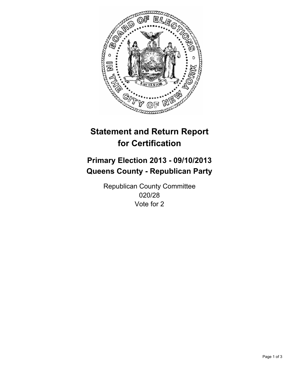

# **Statement and Return Report for Certification**

# **Primary Election 2013 - 09/10/2013 Queens County - Republican Party**

Republican County Committee 020/28 Vote for 2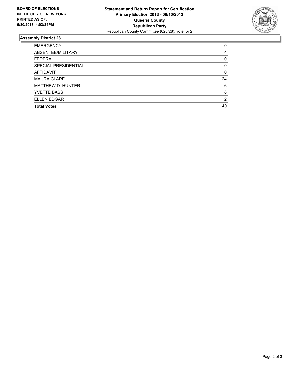

## **Assembly District 28**

| 0        |
|----------|
| 4        |
| 0        |
| $\Omega$ |
| 0        |
| 24       |
| 6        |
| 8        |
| 2        |
| 40       |
|          |